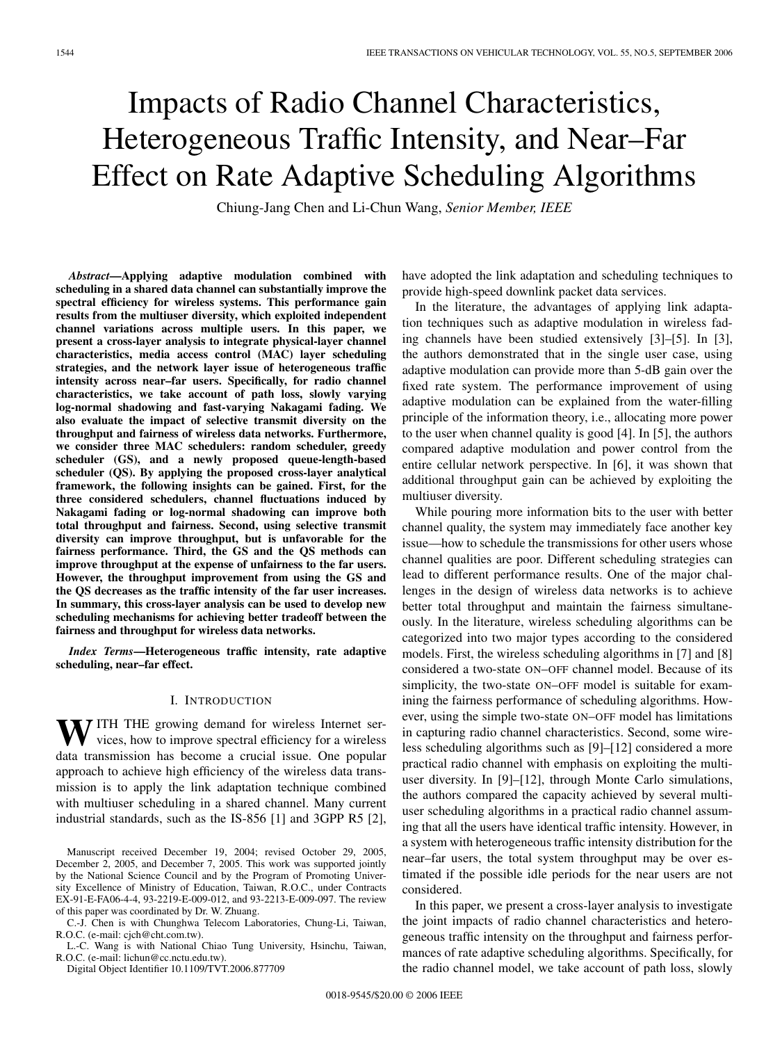# Impacts of Radio Channel Characteristics, Heterogeneous Traffic Intensity, and Near–Far Effect on Rate Adaptive Scheduling Algorithms

Chiung-Jang Chen and Li-Chun Wang, *Senior Member, IEEE*

*Abstract***—Applying adaptive modulation combined with scheduling in a shared data channel can substantially improve the spectral efficiency for wireless systems. This performance gain results from the multiuser diversity, which exploited independent channel variations across multiple users. In this paper, we present a cross-layer analysis to integrate physical-layer channel characteristics, media access control (MAC) layer scheduling strategies, and the network layer issue of heterogeneous traffic intensity across near–far users. Specifically, for radio channel characteristics, we take account of path loss, slowly varying log-normal shadowing and fast-varying Nakagami fading. We also evaluate the impact of selective transmit diversity on the throughput and fairness of wireless data networks. Furthermore, we consider three MAC schedulers: random scheduler, greedy scheduler (GS), and a newly proposed queue-length-based scheduler (QS). By applying the proposed cross-layer analytical framework, the following insights can be gained. First, for the three considered schedulers, channel fluctuations induced by Nakagami fading or log-normal shadowing can improve both total throughput and fairness. Second, using selective transmit diversity can improve throughput, but is unfavorable for the fairness performance. Third, the GS and the QS methods can improve throughput at the expense of unfairness to the far users. However, the throughput improvement from using the GS and the QS decreases as the traffic intensity of the far user increases. In summary, this cross-layer analysis can be used to develop new scheduling mechanisms for achieving better tradeoff between the fairness and throughput for wireless data networks.**

*Index Terms***—Heterogeneous traffic intensity, rate adaptive scheduling, near–far effect.**

#### I. INTRODUCTION

WITH THE growing demand for wireless Internet services, how to improve spectral efficiency for a wireless data transmission has become a crucial issue. One popular approach to achieve high efficiency of the wireless data transmission is to apply the link adaptation technique combined with multiuser scheduling in a shared channel. Many current industrial standards, such as the IS-856 [1] and 3GPP R5 [2],

C.-J. Chen is with Chunghwa Telecom Laboratories, Chung-Li, Taiwan, R.O.C. (e-mail: cjch@cht.com.tw).

L.-C. Wang is with National Chiao Tung University, Hsinchu, Taiwan, R.O.C. (e-mail: lichun@cc.nctu.edu.tw).

Digital Object Identifier 10.1109/TVT.2006.877709

have adopted the link adaptation and scheduling techniques to provide high-speed downlink packet data services.

In the literature, the advantages of applying link adaptation techniques such as adaptive modulation in wireless fading channels have been studied extensively [3]–[5]. In [3], the authors demonstrated that in the single user case, using adaptive modulation can provide more than 5-dB gain over the fixed rate system. The performance improvement of using adaptive modulation can be explained from the water-filling principle of the information theory, i.e., allocating more power to the user when channel quality is good [4]. In [5], the authors compared adaptive modulation and power control from the entire cellular network perspective. In [6], it was shown that additional throughput gain can be achieved by exploiting the multiuser diversity.

While pouring more information bits to the user with better channel quality, the system may immediately face another key issue—how to schedule the transmissions for other users whose channel qualities are poor. Different scheduling strategies can lead to different performance results. One of the major challenges in the design of wireless data networks is to achieve better total throughput and maintain the fairness simultaneously. In the literature, wireless scheduling algorithms can be categorized into two major types according to the considered models. First, the wireless scheduling algorithms in [7] and [8] considered a two-state ON–OFF channel model. Because of its simplicity, the two-state ON–OFF model is suitable for examining the fairness performance of scheduling algorithms. However, using the simple two-state ON–OFF model has limitations in capturing radio channel characteristics. Second, some wireless scheduling algorithms such as [9]–[12] considered a more practical radio channel with emphasis on exploiting the multiuser diversity. In [9]–[12], through Monte Carlo simulations, the authors compared the capacity achieved by several multiuser scheduling algorithms in a practical radio channel assuming that all the users have identical traffic intensity. However, in a system with heterogeneous traffic intensity distribution for the near–far users, the total system throughput may be over estimated if the possible idle periods for the near users are not considered.

In this paper, we present a cross-layer analysis to investigate the joint impacts of radio channel characteristics and heterogeneous traffic intensity on the throughput and fairness performances of rate adaptive scheduling algorithms. Specifically, for the radio channel model, we take account of path loss, slowly

Manuscript received December 19, 2004; revised October 29, 2005, December 2, 2005, and December 7, 2005. This work was supported jointly by the National Science Council and by the Program of Promoting University Excellence of Ministry of Education, Taiwan, R.O.C., under Contracts EX-91-E-FA06-4-4, 93-2219-E-009-012, and 93-2213-E-009-097. The review of this paper was coordinated by Dr. W. Zhuang.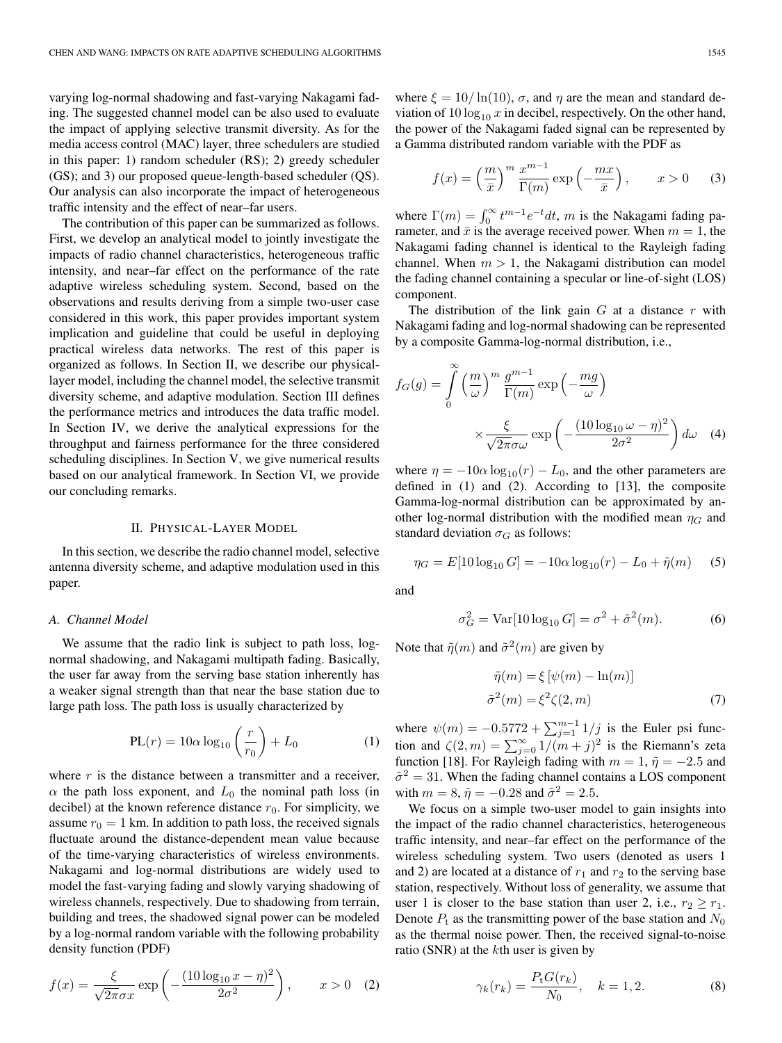varying log-normal shadowing and fast-varying Nakagami fading. The suggested channel model can be also used to evaluate the impact of applying selective transmit diversity. As for the media access control (MAC) layer, three schedulers are studied in this paper: 1) random scheduler (RS); 2) greedy scheduler (GS); and 3) our proposed queue-length-based scheduler (QS). Our analysis can also incorporate the impact of heterogeneous traffic intensity and the effect of near–far users.

The contribution of this paper can be summarized as follows. First, we develop an analytical model to jointly investigate the impacts of radio channel characteristics, heterogeneous traffic intensity, and near–far effect on the performance of the rate adaptive wireless scheduling system. Second, based on the observations and results deriving from a simple two-user case considered in this work, this paper provides important system implication and guideline that could be useful in deploying practical wireless data networks. The rest of this paper is organized as follows. In Section II, we describe our physicallayer model, including the channel model, the selective transmit diversity scheme, and adaptive modulation. Section III defines the performance metrics and introduces the data traffic model. In Section IV, we derive the analytical expressions for the throughput and fairness performance for the three considered scheduling disciplines. In Section V, we give numerical results based on our analytical framework. In Section VI, we provide our concluding remarks.

# II. PHYSICAL-LAYER MODEL

In this section, we describe the radio channel model, selective antenna diversity scheme, and adaptive modulation used in this paper.

#### *A. Channel Model*

We assume that the radio link is subject to path loss, lognormal shadowing, and Nakagami multipath fading. Basically, the user far away from the serving base station inherently has a weaker signal strength than that near the base station due to large path loss. The path loss is usually characterized by

$$
PL(r) = 10\alpha \log_{10} \left(\frac{r}{r_0}\right) + L_0 \tag{1}
$$

where  $r$  is the distance between a transmitter and a receiver,  $\alpha$  the path loss exponent, and  $L_0$  the nominal path loss (in decibel) at the known reference distance  $r_0$ . For simplicity, we assume  $r_0 = 1$  km. In addition to path loss, the received signals fluctuate around the distance-dependent mean value because of the time-varying characteristics of wireless environments. Nakagami and log-normal distributions are widely used to model the fast-varying fading and slowly varying shadowing of wireless channels, respectively. Due to shadowing from terrain, building and trees, the shadowed signal power can be modeled by a log-normal random variable with the following probability density function (PDF)

$$
f(x) = \frac{\xi}{\sqrt{2\pi}\sigma x} \exp\left(-\frac{(10\log_{10}x - \eta)^2}{2\sigma^2}\right), \qquad x > 0 \quad (2)
$$

where  $\xi = 10/\ln(10)$ ,  $\sigma$ , and  $\eta$  are the mean and standard deviation of 10  $\log_{10} x$  in decibel, respectively. On the other hand, the power of the Nakagami faded signal can be represented by a Gamma distributed random variable with the PDF as

$$
f(x) = \left(\frac{m}{\bar{x}}\right)^m \frac{x^{m-1}}{\Gamma(m)} \exp\left(-\frac{mx}{\bar{x}}\right), \qquad x > 0 \qquad (3)
$$

where  $\Gamma(m) = \int_0^\infty t^{m-1} e^{-t} dt$ , m is the Nakagami fading parameter and  $\bar{x}$  is the average received nower. When  $m = 1$  the rameter, and  $\bar{x}$  is the average received power. When  $m = 1$ , the Nakagami fading channel is identical to the Rayleigh fading channel. When  $m > 1$ , the Nakagami distribution can model the fading channel containing a specular or line-of-sight (LOS) component.

The distribution of the link gain  $G$  at a distance  $r$  with Nakagami fading and log-normal shadowing can be represented by a composite Gamma-log-normal distribution, i.e.,

$$
f_G(g) = \int_0^{\infty} \left(\frac{m}{\omega}\right)^m \frac{g^{m-1}}{\Gamma(m)} \exp\left(-\frac{mg}{\omega}\right)
$$

$$
\times \frac{\xi}{\sqrt{2\pi}\sigma\omega} \exp\left(-\frac{(10\log_{10}\omega - \eta)^2}{2\sigma^2}\right) d\omega \quad (4)
$$

where  $\eta = -10\alpha \log_{10}(r) - L_0$ , and the other parameters are defined in (1) and (2). According to [13], the composite Gamma-log-normal distribution can be approximated by another log-normal distribution with the modified mean  $\eta_G$  and standard deviation  $\sigma_G$  as follows:

$$
\eta_G = E[10 \log_{10} G] = -10\alpha \log_{10}(r) - L_0 + \tilde{\eta}(m) \quad (5)
$$

and

$$
\sigma_G^2 = \text{Var}[10\log_{10} G] = \sigma^2 + \tilde{\sigma}^2(m). \tag{6}
$$

Note that  $\tilde{\eta}(m)$  and  $\tilde{\sigma}^2(m)$  are given by

$$
\tilde{\eta}(m) = \xi \left[ \psi(m) - \ln(m) \right]
$$
  
\n
$$
\tilde{\sigma}^2(m) = \xi^2 \zeta(2, m)
$$
\n(7)

where  $\psi(m) = -0.5772 + \sum_{j=1}^{m-1} 1/j$  is the Euler psi function and  $\zeta(2, m) = \sum_{j=0}^{\infty} 1/(m+j)^2$  is the Riemann's zeta function [18] For Rayleigh fading with  $m-1$   $\tilde{p} = -2.5$  and function [18]. For Rayleigh fading with  $m = 1$ ,  $\tilde{\eta} = -2.5$  and  $\tilde{\sigma}^2 = 31$ . When the fading channel contains a LOS component with  $m = 8$ ,  $\tilde{\eta} = -0.28$  and  $\tilde{\sigma}^2 = 2.5$ .

We focus on a simple two-user model to gain insights into the impact of the radio channel characteristics, heterogeneous traffic intensity, and near–far effect on the performance of the wireless scheduling system. Two users (denoted as users 1 and 2) are located at a distance of  $r_1$  and  $r_2$  to the serving base station, respectively. Without loss of generality, we assume that user 1 is closer to the base station than user 2, i.e.,  $r_2 \ge r_1$ . Denote  $P_t$  as the transmitting power of the base station and  $N_0$ as the thermal noise power. Then, the received signal-to-noise ratio (SNR) at the kth user is given by

$$
\gamma_k(r_k) = \frac{P_t G(r_k)}{N_0}, \quad k = 1, 2. \tag{8}
$$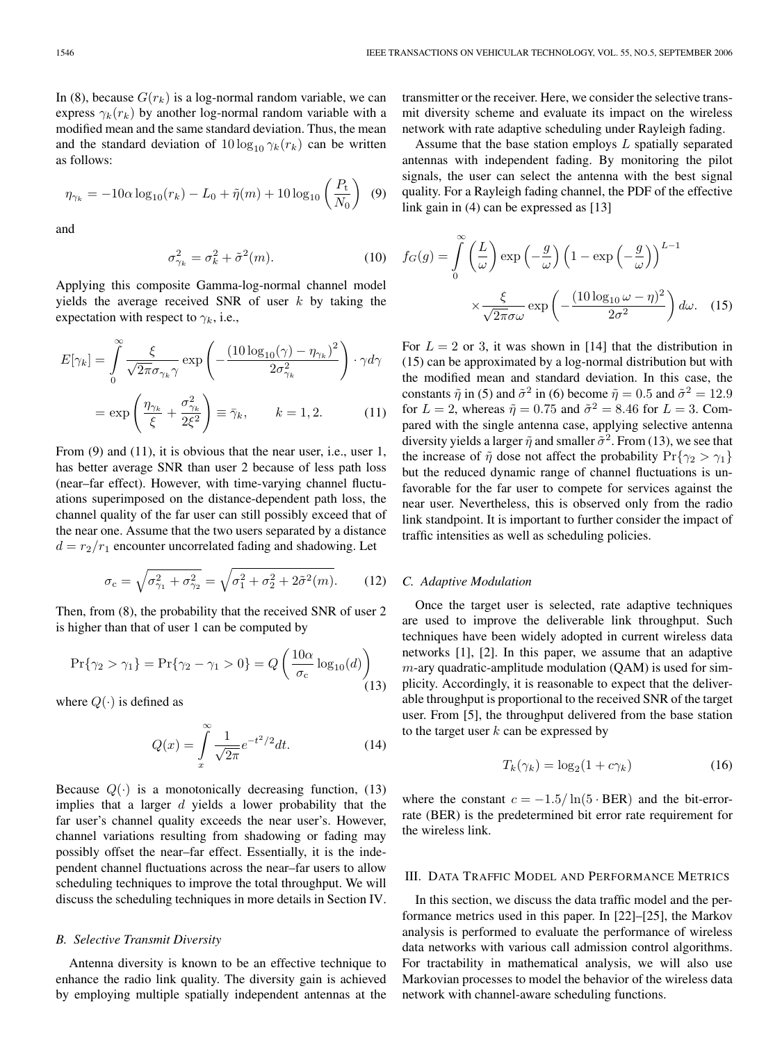In (8), because  $G(r_k)$  is a log-normal random variable, we can express  $\gamma_k(r_k)$  by another log-normal random variable with a modified mean and the same standard deviation. Thus, the mean and the standard deviation of  $10 \log_{10} \gamma_k(r_k)$  can be written as follows:

$$
\eta_{\gamma_k} = -10\alpha \log_{10}(r_k) - L_0 + \tilde{\eta}(m) + 10 \log_{10} \left(\frac{P_{\rm t}}{N_0}\right) \tag{9}
$$

and

$$
\sigma_{\gamma_k}^2 = \sigma_k^2 + \tilde{\sigma}^2(m). \tag{10}
$$

Applying this composite Gamma-log-normal channel model yields the average received SNR of user  $k$  by taking the expectation with respect to  $\gamma_k$ , i.e.,

$$
E[\gamma_k] = \int_0^\infty \frac{\xi}{\sqrt{2\pi}\sigma_{\gamma_k}\gamma} \exp\left(-\frac{(10\log_{10}(\gamma) - \eta_{\gamma_k})^2}{2\sigma_{\gamma_k}^2}\right) \cdot \gamma d\gamma
$$

$$
= \exp\left(\frac{\eta_{\gamma_k}}{\xi} + \frac{\sigma_{\gamma_k}^2}{2\xi^2}\right) \equiv \bar{\gamma}_k, \qquad k = 1, 2. \tag{11}
$$

From (9) and (11), it is obvious that the near user, i.e., user 1, has better average SNR than user 2 because of less path loss (near–far effect). However, with time-varying channel fluctuations superimposed on the distance-dependent path loss, the channel quality of the far user can still possibly exceed that of the near one. Assume that the two users separated by a distance  $d = r_2/r_1$  encounter uncorrelated fading and shadowing. Let

$$
\sigma_{\rm c} = \sqrt{\sigma_{\gamma_1}^2 + \sigma_{\gamma_2}^2} = \sqrt{\sigma_1^2 + \sigma_2^2 + 2\tilde{\sigma}^2(m)}.
$$
 (12)

Then, from (8), the probability that the received SNR of user 2 is higher than that of user 1 can be computed by

$$
\Pr\{\gamma_2 > \gamma_1\} = \Pr\{\gamma_2 - \gamma_1 > 0\} = Q\left(\frac{10\alpha}{\sigma_c} \log_{10}(d)\right) \tag{13}
$$

where  $Q(\cdot)$  is defined as

$$
Q(x) = \int_{x}^{\infty} \frac{1}{\sqrt{2\pi}} e^{-t^2/2} dt.
$$
 (14)

Because  $Q(\cdot)$  is a monotonically decreasing function, (13) implies that a larger  $d$  yields a lower probability that the far user's channel quality exceeds the near user's. However, channel variations resulting from shadowing or fading may possibly offset the near–far effect. Essentially, it is the independent channel fluctuations across the near–far users to allow scheduling techniques to improve the total throughput. We will discuss the scheduling techniques in more details in Section IV.

# *B. Selective Transmit Diversity*

Antenna diversity is known to be an effective technique to enhance the radio link quality. The diversity gain is achieved by employing multiple spatially independent antennas at the transmitter or the receiver. Here, we consider the selective transmit diversity scheme and evaluate its impact on the wireless network with rate adaptive scheduling under Rayleigh fading.

Assume that the base station employs  $L$  spatially separated antennas with independent fading. By monitoring the pilot signals, the user can select the antenna with the best signal quality. For a Rayleigh fading channel, the PDF of the effective link gain in (4) can be expressed as [13]

$$
f_G(g) = \int_0^{\infty} \left(\frac{L}{\omega}\right) \exp\left(-\frac{g}{\omega}\right) \left(1 - \exp\left(-\frac{g}{\omega}\right)\right)^{L-1} \times \frac{\xi}{\sqrt{2\pi}\sigma\omega} \exp\left(-\frac{(10\log_{10}\omega - \eta)^2}{2\sigma^2}\right) d\omega. \quad (15)
$$

For  $L = 2$  or 3, it was shown in [14] that the distribution in (15) can be approximated by a log-normal distribution but with the modified mean and standard deviation. In this case, the constants  $\tilde{\eta}$  in (5) and  $\tilde{\sigma}^2$  in (6) become  $\tilde{\eta} = 0.5$  and  $\tilde{\sigma}^2 = 12.9$ for  $L = 2$ , whereas  $\tilde{\eta} = 0.75$  and  $\tilde{\sigma}^2 = 8.46$  for  $L = 3$ . Compared with the single antenna case, applying selective antenna diversity yields a larger  $\tilde{\eta}$  and smaller  $\tilde{\sigma}^2$ . From (13), we see that the increase of  $\tilde{\eta}$  dose not affect the probability  $Pr{\gamma_2 > \gamma_1}$ but the reduced dynamic range of channel fluctuations is unfavorable for the far user to compete for services against the near user. Nevertheless, this is observed only from the radio link standpoint. It is important to further consider the impact of traffic intensities as well as scheduling policies.

#### *C. Adaptive Modulation*

Once the target user is selected, rate adaptive techniques are used to improve the deliverable link throughput. Such techniques have been widely adopted in current wireless data networks [1], [2]. In this paper, we assume that an adaptive  $m$ -ary quadratic-amplitude modulation (QAM) is used for simplicity. Accordingly, it is reasonable to expect that the deliverable throughput is proportional to the received SNR of the target user. From [5], the throughput delivered from the base station to the target user  $k$  can be expressed by

$$
T_k(\gamma_k) = \log_2(1 + c\gamma_k)
$$
 (16)

where the constant  $c = -1.5/\ln(5 \cdot BER)$  and the bit-errorrate (BER) is the predetermined bit error rate requirement for the wireless link.

# III. DATA TRAFFIC MODEL AND PERFORMANCE METRICS

In this section, we discuss the data traffic model and the performance metrics used in this paper. In [22]–[25], the Markov analysis is performed to evaluate the performance of wireless data networks with various call admission control algorithms. For tractability in mathematical analysis, we will also use Markovian processes to model the behavior of the wireless data network with channel-aware scheduling functions.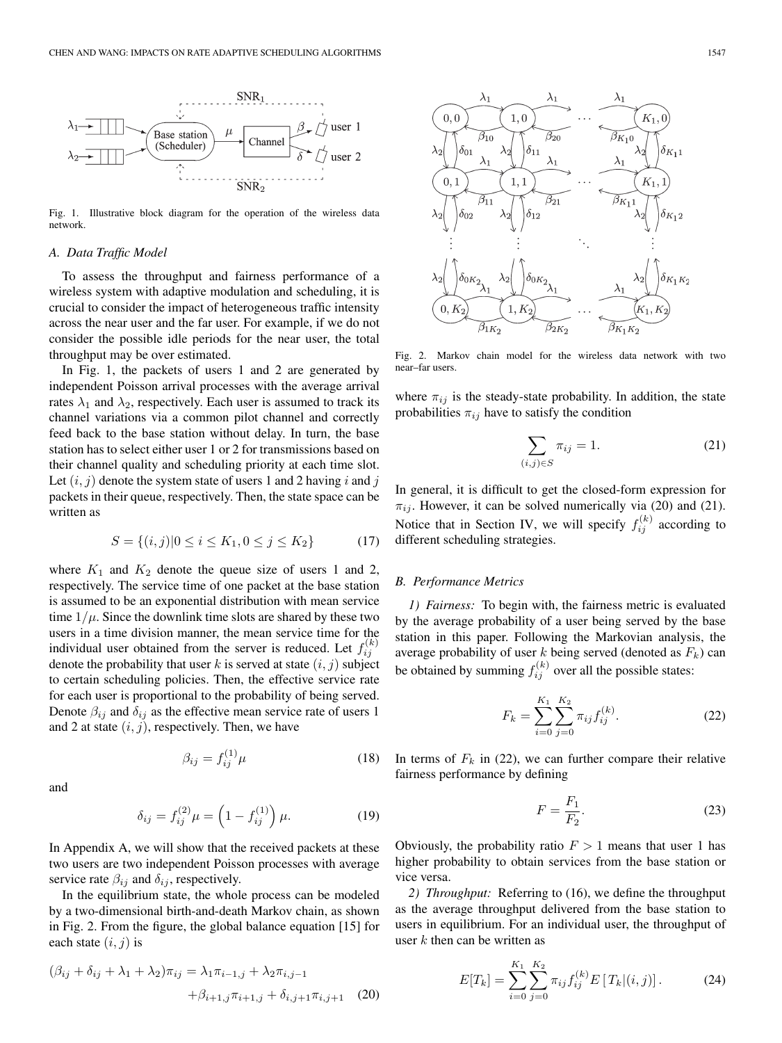

Fig. 1. Illustrative block diagram for the operation of the wireless data network.

#### *A. Data Traffic Model*

To assess the throughput and fairness performance of a wireless system with adaptive modulation and scheduling, it is crucial to consider the impact of heterogeneous traffic intensity across the near user and the far user. For example, if we do not consider the possible idle periods for the near user, the total throughput may be over estimated.

In Fig. 1, the packets of users 1 and 2 are generated by independent Poisson arrival processes with the average arrival rates  $\lambda_1$  and  $\lambda_2$ , respectively. Each user is assumed to track its channel variations via a common pilot channel and correctly feed back to the base station without delay. In turn, the base station has to select either user 1 or 2 for transmissions based on their channel quality and scheduling priority at each time slot. Let  $(i, j)$  denote the system state of users 1 and 2 having i and j packets in their queue, respectively. Then, the state space can be written as

$$
S = \{(i, j) | 0 \le i \le K_1, 0 \le j \le K_2\}
$$
 (17)

where  $K_1$  and  $K_2$  denote the queue size of users 1 and 2, respectively. The service time of one packet at the base station is assumed to be an exponential distribution with mean service time  $1/\mu$ . Since the downlink time slots are shared by these two users in a time division manner, the mean service time for the individual user obtained from the server is reduced. Let  $f_{ij}^{(k)}$ denote the probability that user k is served at state  $(i, j)$  subject to certain scheduling policies. Then, the effective service rate for each user is proportional to the probability of being served. Denote  $\beta_{ij}$  and  $\delta_{ij}$  as the effective mean service rate of users 1 and 2 at state  $(i, j)$ , respectively. Then, we have

$$
\beta_{ij} = f_{ij}^{(1)} \mu \tag{18}
$$

and

$$
\delta_{ij} = f_{ij}^{(2)} \mu = \left(1 - f_{ij}^{(1)}\right) \mu. \tag{19}
$$

In Appendix A, we will show that the received packets at these two users are two independent Poisson processes with average service rate  $\beta_{ij}$  and  $\delta_{ij}$ , respectively.

In the equilibrium state, the whole process can be modeled by a two-dimensional birth-and-death Markov chain, as shown in Fig. 2. From the figure, the global balance equation [15] for each state  $(i, j)$  is

$$
(\beta_{ij} + \delta_{ij} + \lambda_1 + \lambda_2)\pi_{ij} = \lambda_1 \pi_{i-1,j} + \lambda_2 \pi_{i,j-1} + \beta_{i+1,j} \pi_{i+1,j} + \delta_{i,j+1} \pi_{i,j+1}
$$
 (20)



Fig. 2. Markov chain model for the wireless data network with two near–far users.

where  $\pi_{ij}$  is the steady-state probability. In addition, the state probabilities  $\pi_{ij}$  have to satisfy the condition

$$
\sum_{(i,j)\in S} \pi_{ij} = 1.
$$
\n(21)

In general, it is difficult to get the closed-form expression for  $\pi_{ij}$ . However, it can be solved numerically via (20) and (21). Notice that in Section IV, we will specify  $f_{ij}^{(k)}$  according to different scheduling strategies.

#### *B. Performance Metrics*

*1) Fairness:* To begin with, the fairness metric is evaluated by the average probability of a user being served by the base station in this paper. Following the Markovian analysis, the average probability of user k being served (denoted as  $F_k$ ) can be obtained by summing  $f_{ij}^{(k)}$  over all the possible states:

$$
F_k = \sum_{i=0}^{K_1} \sum_{j=0}^{K_2} \pi_{ij} f_{ij}^{(k)}.
$$
 (22)

In terms of  $F_k$  in (22), we can further compare their relative fairness performance by defining

$$
F = \frac{F_1}{F_2}.\tag{23}
$$

Obviously, the probability ratio  $F > 1$  means that user 1 has higher probability to obtain services from the base station or vice versa.

*2) Throughput:* Referring to (16), we define the throughput as the average throughput delivered from the base station to users in equilibrium. For an individual user, the throughput of user  $k$  then can be written as

$$
E[T_k] = \sum_{i=0}^{K_1} \sum_{j=0}^{K_2} \pi_{ij} f_{ij}^{(k)} E[T_k|(i,j)].
$$
 (24)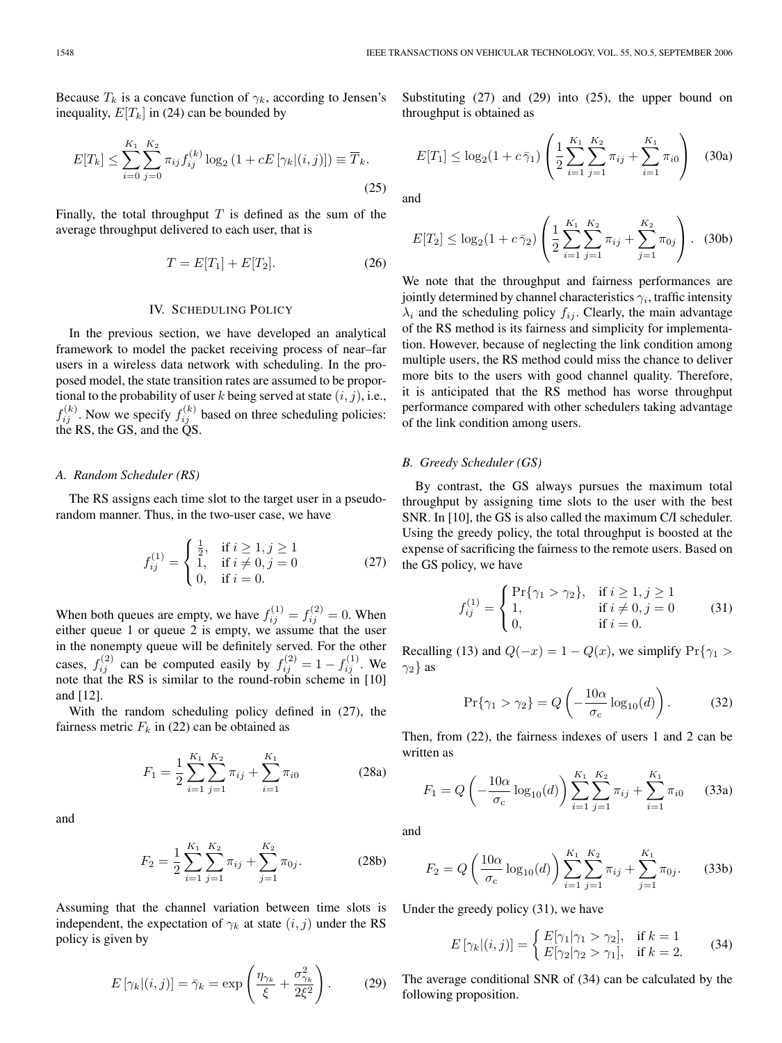Because  $T_k$  is a concave function of  $\gamma_k$ , according to Jensen's inequality,  $E[T_k]$  in (24) can be bounded by

$$
E[T_k] \le \sum_{i=0}^{K_1} \sum_{j=0}^{K_2} \pi_{ij} f_{ij}^{(k)} \log_2 (1 + cE[\gamma_k | (i, j)]) \equiv \overline{T}_k.
$$
\n(25)

Finally, the total throughput  $T$  is defined as the sum of the average throughput delivered to each user, that is

$$
T = E[T_1] + E[T_2].
$$
 (26)

# IV. SCHEDULING POLICY

In the previous section, we have developed an analytical framework to model the packet receiving process of near–far users in a wireless data network with scheduling. In the proposed model, the state transition rates are assumed to be proportional to the probability of user k being served at state  $(i, j)$ , i.e.,  $f_{ij}^{(k)}$ . Now we specify  $f_{ij}^{(k)}$  based on three scheduling policies: the RS, the GS, and the QS.

#### *A. Random Scheduler (RS)*

The RS assigns each time slot to the target user in a pseudorandom manner. Thus, in the two-user case, we have

$$
f_{ij}^{(1)} = \begin{cases} \frac{1}{2}, & \text{if } i \ge 1, j \ge 1\\ 1, & \text{if } i \ne 0, j = 0\\ 0, & \text{if } i = 0. \end{cases}
$$
 (27)

When both queues are empty, we have  $f_{ij}^{(1)} = f_{ij}^{(2)} = 0$ . When either queue 1 or queue 2 is empty, we assume that the user in the nonempty queue will be definitely served. For the other cases,  $f_{ij}^{(2)}$  can be computed easily by  $f_{ij}^{(2)} = 1 - f_{ij}^{(1)}$ . We note that the RS is similar to the round-robin scheme in [10] and [12].

With the random scheduling policy defined in (27), the fairness metric  $F_k$  in (22) can be obtained as

$$
F_1 = \frac{1}{2} \sum_{i=1}^{K_1} \sum_{j=1}^{K_2} \pi_{ij} + \sum_{i=1}^{K_1} \pi_{i0}
$$
 (28a)

and

$$
F_2 = \frac{1}{2} \sum_{i=1}^{K_1} \sum_{j=1}^{K_2} \pi_{ij} + \sum_{j=1}^{K_2} \pi_{0j}.
$$
 (28b)

Assuming that the channel variation between time slots is independent, the expectation of  $\gamma_k$  at state  $(i, j)$  under the RS policy is given by

$$
E\left[\gamma_k|(i,j)\right] = \bar{\gamma}_k = \exp\left(\frac{\eta_{\gamma_k}}{\xi} + \frac{\sigma_{\gamma_k}^2}{2\xi^2}\right). \tag{29}
$$

Substituting (27) and (29) into (25), the upper bound on throughput is obtained as

$$
E[T_1] \le \log_2(1 + c\bar{\gamma}_1) \left( \frac{1}{2} \sum_{i=1}^{K_1} \sum_{j=1}^{K_2} \pi_{ij} + \sum_{i=1}^{K_1} \pi_{i0} \right) \quad (30a)
$$

and

$$
E[T_2] \le \log_2(1 + c\,\bar{\gamma}_2) \left( \frac{1}{2} \sum_{i=1}^{K_1} \sum_{j=1}^{K_2} \pi_{ij} + \sum_{j=1}^{K_2} \pi_{0j} \right). \tag{30b}
$$

We note that the throughput and fairness performances are jointly determined by channel characteristics  $\gamma_i$ , traffic intensity  $\lambda_i$  and the scheduling policy  $f_{ij}$ . Clearly, the main advantage of the RS method is its fairness and simplicity for implementation. However, because of neglecting the link condition among multiple users, the RS method could miss the chance to deliver more bits to the users with good channel quality. Therefore, it is anticipated that the RS method has worse throughput performance compared with other schedulers taking advantage of the link condition among users.

# *B. Greedy Scheduler (GS)*

By contrast, the GS always pursues the maximum total throughput by assigning time slots to the user with the best SNR. In [10], the GS is also called the maximum C/I scheduler. Using the greedy policy, the total throughput is boosted at the expense of sacrificing the fairness to the remote users. Based on the GS policy, we have

$$
f_{ij}^{(1)} = \begin{cases} Pr\{\gamma_1 > \gamma_2\}, & \text{if } i \ge 1, j \ge 1\\ 1, & \text{if } i \ne 0, j = 0\\ 0, & \text{if } i = 0. \end{cases}
$$
 (31)

Recalling (13) and  $Q(-x)=1 - Q(x)$ , we simplify Pr{ $\gamma_1 >$  $\gamma_2$ } as

$$
\Pr\{\gamma_1 > \gamma_2\} = Q\left(-\frac{10\alpha}{\sigma_c}\log_{10}(d)\right). \tag{32}
$$

Then, from (22), the fairness indexes of users 1 and 2 can be written as

$$
F_1 = Q\left(-\frac{10\alpha}{\sigma_c}\log_{10}(d)\right) \sum_{i=1}^{K_1} \sum_{j=1}^{K_2} \pi_{ij} + \sum_{i=1}^{K_1} \pi_{i0} \qquad (33a)
$$

and

$$
F_2 = Q\left(\frac{10\alpha}{\sigma_c}\log_{10}(d)\right) \sum_{i=1}^{K_1} \sum_{j=1}^{K_2} \pi_{ij} + \sum_{j=1}^{K_1} \pi_{0j}.
$$
 (33b)

Under the greedy policy (31), we have

$$
E\left[\gamma_k|(i,j)\right] = \begin{cases} E[\gamma_1|\gamma_1 > \gamma_2], & \text{if } k = 1\\ E[\gamma_2|\gamma_2 > \gamma_1], & \text{if } k = 2. \end{cases}
$$
 (34)

The average conditional SNR of (34) can be calculated by the following proposition.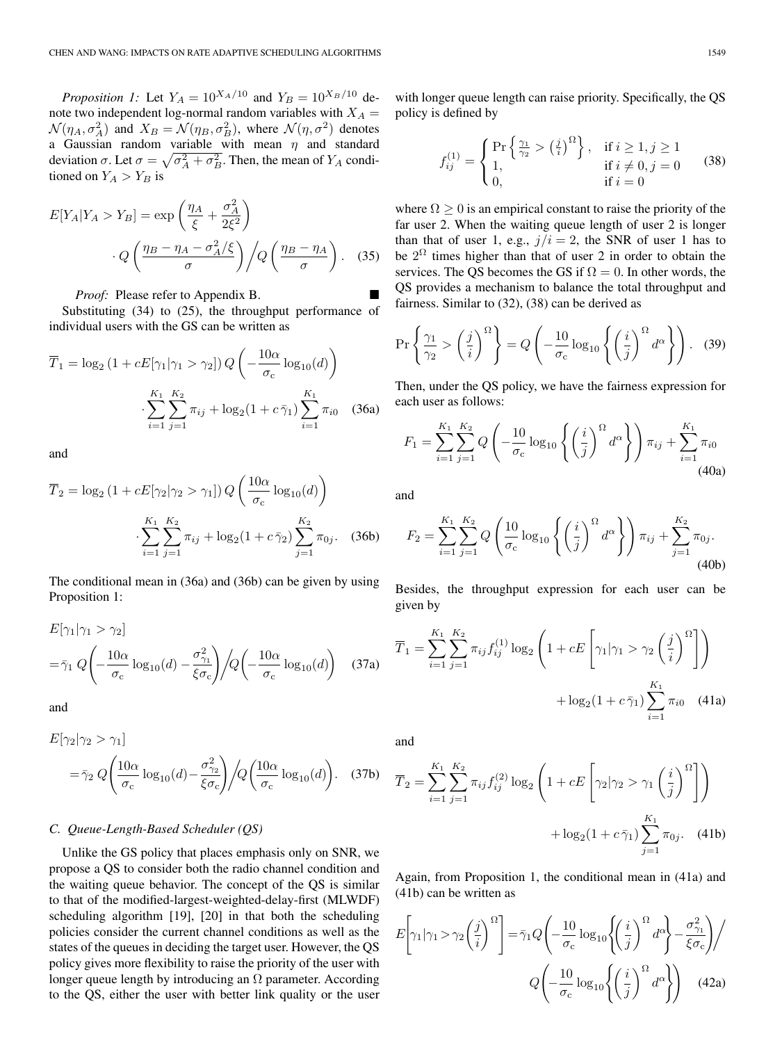*Proposition 1:* Let  $Y_A = 10^{X_A/10}$  and  $Y_B = 10^{X_B/10}$  denote two independent log-normal random variables with  $X_A =$  $\mathcal{N}(\eta_A, \sigma_A^2)$  and  $X_B = \mathcal{N}(\eta_B, \sigma_B^2)$ , where  $\mathcal{N}(\eta, \sigma^2)$  denotes a Gaussian random variable with mean  $\eta$  and standard deviation  $\sigma$ . Let  $\sigma = \sqrt{\sigma_A^2 + \sigma_B^2}$ . Then, the mean of  $Y_A$  conditioned on  $Y_A > Y_B$  is

$$
E[Y_A|Y_A > Y_B] = \exp\left(\frac{\eta_A}{\xi} + \frac{\sigma_A^2}{2\xi^2}\right)
$$

$$
\cdot Q\left(\frac{\eta_B - \eta_A - \sigma_A^2/\xi}{\sigma}\right) / Q\left(\frac{\eta_B - \eta_A}{\sigma}\right). \quad (35)
$$

*Proof:* Please refer to Appendix B.

Substituting (34) to (25), the throughput performance of individual users with the GS can be written as

$$
\overline{T}_1 = \log_2 (1 + cE[\gamma_1 | \gamma_1 > \gamma_2]) Q\left(-\frac{10\alpha}{\sigma_c} \log_{10}(d)\right)
$$

$$
\cdot \sum_{i=1}^{K_1} \sum_{j=1}^{K_2} \pi_{ij} + \log_2 (1 + c\bar{\gamma}_1) \sum_{i=1}^{K_1} \pi_{i0} \quad (36a)
$$

and

$$
\overline{T}_2 = \log_2 (1 + cE[\gamma_2 | \gamma_2 > \gamma_1]) Q\left(\frac{10\alpha}{\sigma_c} \log_{10}(d)\right)
$$

$$
\cdot \sum_{i=1}^{K_1} \sum_{j=1}^{K_2} \pi_{ij} + \log_2 (1 + c \bar{\gamma}_2) \sum_{j=1}^{K_2} \pi_{0j}.
$$
 (36b)

The conditional mean in (36a) and (36b) can be given by using Proposition 1:

$$
E[\gamma_1 | \gamma_1 > \gamma_2]
$$
  
=  $\bar{\gamma}_1 Q \left( -\frac{10\alpha}{\sigma_c} \log_{10}(d) - \frac{\sigma_{\gamma_1}^2}{\xi \sigma_c} \right) / Q \left( -\frac{10\alpha}{\sigma_c} \log_{10}(d) \right)$  (37a)

and

$$
E[\gamma_2 | \gamma_2 > \gamma_1]
$$
  
=  $\bar{\gamma}_2 Q \left( \frac{10\alpha}{\sigma_c} \log_{10}(d) - \frac{\sigma_{\gamma_2}^2}{\xi \sigma_c} \right) / Q \left( \frac{10\alpha}{\sigma_c} \log_{10}(d) \right)$ . (37b)

#### *C. Queue-Length-Based Scheduler (QS)*

Unlike the GS policy that places emphasis only on SNR, we propose a QS to consider both the radio channel condition and the waiting queue behavior. The concept of the QS is similar to that of the modified-largest-weighted-delay-first (MLWDF) scheduling algorithm [19], [20] in that both the scheduling policies consider the current channel conditions as well as the states of the queues in deciding the target user. However, the QS policy gives more flexibility to raise the priority of the user with longer queue length by introducing an  $\Omega$  parameter. According to the QS, either the user with better link quality or the user

with longer queue length can raise priority. Specifically, the QS policy is defined by

$$
f_{ij}^{(1)} = \begin{cases} \Pr\left\{\frac{\gamma_1}{\gamma_2} > \left(\frac{j}{i}\right)^{\Omega}\right\}, & \text{if } i \ge 1, j \ge 1\\ 1, & \text{if } i \ne 0, j = 0\\ 0, & \text{if } i = 0 \end{cases}
$$
(38)

where  $\Omega \geq 0$  is an empirical constant to raise the priority of the far user 2. When the waiting queue length of user 2 is longer than that of user 1, e.g.,  $j/i = 2$ , the SNR of user 1 has to be  $2^{\Omega}$  times higher than that of user 2 in order to obtain the services. The QS becomes the GS if  $\Omega = 0$ . In other words, the QS provides a mechanism to balance the total throughput and fairness. Similar to (32), (38) can be derived as

$$
\Pr\left\{\frac{\gamma_1}{\gamma_2} > \left(\frac{j}{i}\right)^{\Omega}\right\} = Q\left(-\frac{10}{\sigma_c}\log_{10}\left\{\left(\frac{i}{j}\right)^{\Omega}d^{\alpha}\right\}\right). \tag{39}
$$

Then, under the QS policy, we have the fairness expression for each user as follows:

$$
F_1 = \sum_{i=1}^{K_1} \sum_{j=1}^{K_2} Q\left(-\frac{10}{\sigma_c} \log_{10} \left\{ \left(\frac{i}{j}\right)^{\Omega} d^{\alpha} \right\} \right) \pi_{ij} + \sum_{i=1}^{K_1} \pi_{i0}
$$
\n(40a)

and

$$
F_2 = \sum_{i=1}^{K_1} \sum_{j=1}^{K_2} Q\left(\frac{10}{\sigma_c} \log_{10} \left\{ \left(\frac{i}{j}\right)^{\Omega} d^{\alpha} \right\} \right) \pi_{ij} + \sum_{j=1}^{K_2} \pi_{0j}.
$$
\n(40b)

Besides, the throughput expression for each user can be given by

$$
\overline{T}_1 = \sum_{i=1}^{K_1} \sum_{j=1}^{K_2} \pi_{ij} f_{ij}^{(1)} \log_2 \left( 1 + cE \left[ \gamma_1 | \gamma_1 > \gamma_2 \left( \frac{j}{i} \right)^{\Omega} \right] \right) + \log_2 (1 + c \bar{\gamma}_1) \sum_{i=1}^{K_1} \pi_{i0} \quad (41a)
$$

and

$$
\overline{T}_2 = \sum_{i=1}^{K_1} \sum_{j=1}^{K_2} \pi_{ij} f_{ij}^{(2)} \log_2 \left( 1 + cE \left[ \gamma_2 | \gamma_2 > \gamma_1 \left( \frac{i}{j} \right)^{\Omega} \right] \right) + \log_2 (1 + c \bar{\gamma}_1) \sum_{j=1}^{K_1} \pi_{0j}.
$$
 (41b)

Again, from Proposition 1, the conditional mean in (41a) and (41b) can be written as

$$
E\left[\gamma_1|\gamma_1\rangle\gamma_2\left(\frac{j}{i}\right)^{\Omega}\right] = \bar{\gamma}_1 Q\left(-\frac{10}{\sigma_c}\log_{10}\left\{\left(\frac{i}{j}\right)^{\Omega}d^{\alpha}\right\} - \frac{\sigma_{\gamma_1}^2}{\xi\sigma_c}\right)\middle/\right.
$$

$$
Q\left(-\frac{10}{\sigma_c}\log_{10}\left\{\left(\frac{i}{j}\right)^{\Omega}d^{\alpha}\right\}\right) \quad (42a)
$$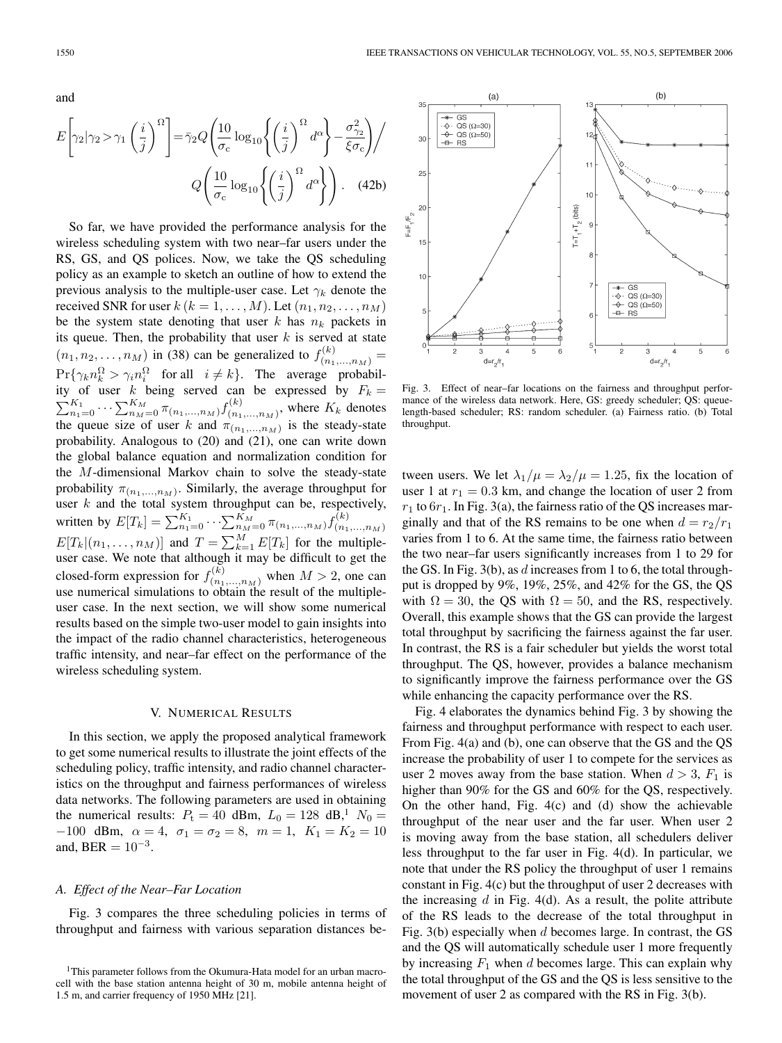and

$$
E\left[\gamma_2|\gamma_2\rangle\gamma_1\left(\frac{i}{j}\right)^{\Omega}\right] = \bar{\gamma}_2 Q\left(\frac{10}{\sigma_c}\log_{10}\left\{\left(\frac{i}{j}\right)^{\Omega}d^{\alpha}\right\} - \frac{\sigma_{\gamma_2}^2}{\xi\sigma_c}\right) / \sigma_c
$$

$$
Q\left(\frac{10}{\sigma_c}\log_{10}\left\{\left(\frac{i}{j}\right)^{\Omega}d^{\alpha}\right\}\right). \quad (42b)
$$

So far, we have provided the performance analysis for the wireless scheduling system with two near–far users under the RS, GS, and QS polices. Now, we take the QS scheduling policy as an example to sketch an outline of how to extend the previous analysis to the multiple-user case. Let  $\gamma_k$  denote the received SNR for user  $k (k = 1, \ldots, M)$ . Let  $(n_1, n_2, \ldots, n_M)$ be the system state denoting that user k has  $n_k$  packets in its queue. Then, the probability that user  $k$  is served at state  $(n_1, n_2, ..., n_M)$  in (38) can be generalized to  $f_{(n_1,...,n_M)}^{(k)} =$  $Pr{\gamma_k n_k^{\Omega}} > \gamma_i n_i^{\Omega}$  for all  $i \neq k$ . The average probability of user k being served can be expressed by  $F_k =$  $\sum_{n=0}^{K_1} \cdots \sum_{n=0}^{K_M} \pi_{(n_1,\ldots,n_M)} f_{(n_1,\ldots,n_M)}^{(k)}$ , where  $K_k$  denotes the quality of user k and  $\pi_k$ . the queue size of user k and  $\pi_{(n_1,...,n_M)}$  is the steady-state probability. Analogous to (20) and (21), one can write down the global balance equation and normalization condition for the M-dimensional Markov chain to solve the steady-state probability  $\pi_{(n_1,...,n_M)}$ . Similarly, the average throughput for user  $k$  and the total system throughput can be, respectively, written by  $E[T_k] = \sum_{n_1=0}^{K_1} \cdots \sum_{n_M=0}^{K_M} \pi_{(n_1,...,n_M)} f_{(n_1,...,n_M)}^{(k)}$ <br>  $E[T_k | (n_1,...,n_M)]$  and  $T = \sum_{k=1}^{M} E[T_k]$  for the multipleuser case. We note that although it may be difficult to get the closed-form expression for  $f_{(n_1,...,n_M)}^{(k)}$  when  $M > 2$ , one can use numerical simulations to obtain the result of the multipleuser case. In the next section, we will show some numerical results based on the simple two-user model to gain insights into the impact of the radio channel characteristics, heterogeneous traffic intensity, and near–far effect on the performance of the wireless scheduling system.

# V. NUMERICAL RESULTS

In this section, we apply the proposed analytical framework to get some numerical results to illustrate the joint effects of the scheduling policy, traffic intensity, and radio channel characteristics on the throughput and fairness performances of wireless data networks. The following parameters are used in obtaining the numerical results:  $P_t = 40$  dBm,  $L_0 = 128$  dB,<sup>1</sup>  $N_0 =$  $-100$  dBm,  $\alpha = 4$ ,  $\sigma_1 = \sigma_2 = 8$ ,  $m = 1$ ,  $K_1 = K_2 = 10$ and, BER =  $10^{-3}$ .

# *A. Effect of the Near–Far Location*

Fig. 3 compares the three scheduling policies in terms of throughput and fairness with various separation distances be-



Fig. 3. Effect of near–far locations on the fairness and throughput performance of the wireless data network. Here, GS: greedy scheduler; QS: queuelength-based scheduler; RS: random scheduler. (a) Fairness ratio. (b) Total throughput.

tween users. We let  $\lambda_1/\mu = \lambda_2/\mu = 1.25$ , fix the location of user 1 at  $r_1 = 0.3$  km, and change the location of user 2 from  $r_1$  to  $6r_1$ . In Fig. 3(a), the fairness ratio of the QS increases marginally and that of the RS remains to be one when  $d = r_2/r_1$ varies from 1 to 6. At the same time, the fairness ratio between the two near–far users significantly increases from 1 to 29 for the GS. In Fig.  $3(b)$ , as d increases from 1 to 6, the total throughput is dropped by 9%, 19%, 25%, and 42% for the GS, the QS with  $\Omega = 30$ , the QS with  $\Omega = 50$ , and the RS, respectively. Overall, this example shows that the GS can provide the largest total throughput by sacrificing the fairness against the far user. In contrast, the RS is a fair scheduler but yields the worst total throughput. The QS, however, provides a balance mechanism to significantly improve the fairness performance over the GS while enhancing the capacity performance over the RS.

Fig. 4 elaborates the dynamics behind Fig. 3 by showing the fairness and throughput performance with respect to each user. From Fig. 4(a) and (b), one can observe that the GS and the QS increase the probability of user 1 to compete for the services as user 2 moves away from the base station. When  $d > 3$ ,  $F_1$  is higher than 90% for the GS and 60% for the QS, respectively. On the other hand, Fig. 4(c) and (d) show the achievable throughput of the near user and the far user. When user 2 is moving away from the base station, all schedulers deliver less throughput to the far user in Fig. 4(d). In particular, we note that under the RS policy the throughput of user 1 remains constant in Fig. 4(c) but the throughput of user 2 decreases with the increasing  $d$  in Fig. 4(d). As a result, the polite attribute of the RS leads to the decrease of the total throughput in Fig. 3(b) especially when  $d$  becomes large. In contrast, the GS and the QS will automatically schedule user 1 more frequently by increasing  $F_1$  when d becomes large. This can explain why the total throughput of the GS and the QS is less sensitive to the movement of user 2 as compared with the RS in Fig. 3(b).

<sup>&</sup>lt;sup>1</sup>This parameter follows from the Okumura-Hata model for an urban macrocell with the base station antenna height of 30 m, mobile antenna height of 1.5 m, and carrier frequency of 1950 MHz [21].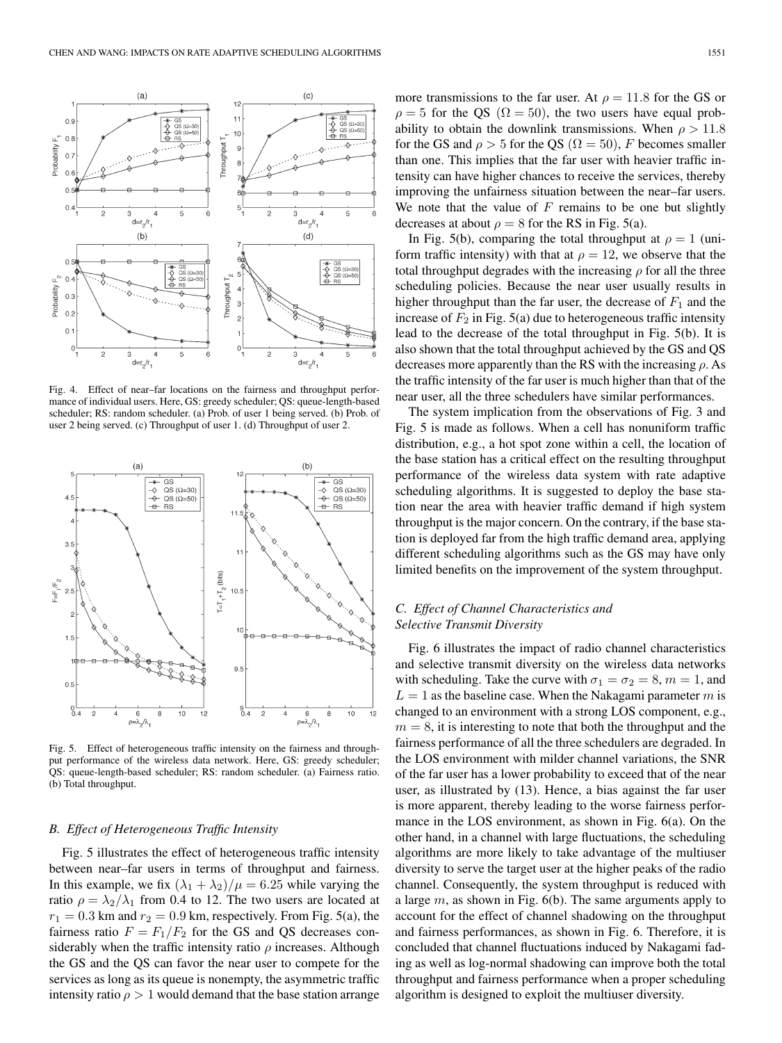

Fig. 4. Effect of near–far locations on the fairness and throughput performance of individual users. Here, GS: greedy scheduler; QS: queue-length-based scheduler; RS: random scheduler. (a) Prob. of user 1 being served. (b) Prob. of user 2 being served. (c) Throughput of user 1. (d) Throughput of user 2.



Fig. 5. Effect of heterogeneous traffic intensity on the fairness and throughput performance of the wireless data network. Here, GS: greedy scheduler; QS: queue-length-based scheduler; RS: random scheduler. (a) Fairness ratio. (b) Total throughput.

#### *B. Effect of Heterogeneous Traffic Intensity*

Fig. 5 illustrates the effect of heterogeneous traffic intensity between near–far users in terms of throughput and fairness. In this example, we fix  $(\lambda_1 + \lambda_2)/\mu = 6.25$  while varying the ratio  $\rho = \lambda_2/\lambda_1$  from 0.4 to 12. The two users are located at  $r_1 = 0.3$  km and  $r_2 = 0.9$  km, respectively. From Fig. 5(a), the fairness ratio  $F = F_1/F_2$  for the GS and QS decreases considerably when the traffic intensity ratio  $\rho$  increases. Although the GS and the QS can favor the near user to compete for the services as long as its queue is nonempty, the asymmetric traffic intensity ratio  $\rho > 1$  would demand that the base station arrange

more transmissions to the far user. At  $\rho = 11.8$  for the GS or  $\rho = 5$  for the QS ( $\Omega = 50$ ), the two users have equal probability to obtain the downlink transmissions. When  $\rho > 11.8$ for the GS and  $\rho > 5$  for the QS ( $\Omega = 50$ ), F becomes smaller than one. This implies that the far user with heavier traffic intensity can have higher chances to receive the services, thereby improving the unfairness situation between the near–far users. We note that the value of  $F$  remains to be one but slightly decreases at about  $\rho = 8$  for the RS in Fig. 5(a).

In Fig. 5(b), comparing the total throughput at  $\rho = 1$  (uniform traffic intensity) with that at  $\rho = 12$ , we observe that the total throughput degrades with the increasing  $\rho$  for all the three scheduling policies. Because the near user usually results in higher throughput than the far user, the decrease of  $F_1$  and the increase of  $F_2$  in Fig. 5(a) due to heterogeneous traffic intensity lead to the decrease of the total throughput in Fig. 5(b). It is also shown that the total throughput achieved by the GS and QS decreases more apparently than the RS with the increasing  $\rho$ . As the traffic intensity of the far user is much higher than that of the near user, all the three schedulers have similar performances.

The system implication from the observations of Fig. 3 and Fig. 5 is made as follows. When a cell has nonuniform traffic distribution, e.g., a hot spot zone within a cell, the location of the base station has a critical effect on the resulting throughput performance of the wireless data system with rate adaptive scheduling algorithms. It is suggested to deploy the base station near the area with heavier traffic demand if high system throughput is the major concern. On the contrary, if the base station is deployed far from the high traffic demand area, applying different scheduling algorithms such as the GS may have only limited benefits on the improvement of the system throughput.

# *C. Effect of Channel Characteristics and Selective Transmit Diversity*

Fig. 6 illustrates the impact of radio channel characteristics and selective transmit diversity on the wireless data networks with scheduling. Take the curve with  $\sigma_1 = \sigma_2 = 8, m = 1$ , and  $L = 1$  as the baseline case. When the Nakagami parameter m is changed to an environment with a strong LOS component, e.g.,  $m = 8$ , it is interesting to note that both the throughput and the fairness performance of all the three schedulers are degraded. In the LOS environment with milder channel variations, the SNR of the far user has a lower probability to exceed that of the near user, as illustrated by (13). Hence, a bias against the far user is more apparent, thereby leading to the worse fairness performance in the LOS environment, as shown in Fig. 6(a). On the other hand, in a channel with large fluctuations, the scheduling algorithms are more likely to take advantage of the multiuser diversity to serve the target user at the higher peaks of the radio channel. Consequently, the system throughput is reduced with a large  $m$ , as shown in Fig. 6(b). The same arguments apply to account for the effect of channel shadowing on the throughput and fairness performances, as shown in Fig. 6. Therefore, it is concluded that channel fluctuations induced by Nakagami fading as well as log-normal shadowing can improve both the total throughput and fairness performance when a proper scheduling algorithm is designed to exploit the multiuser diversity.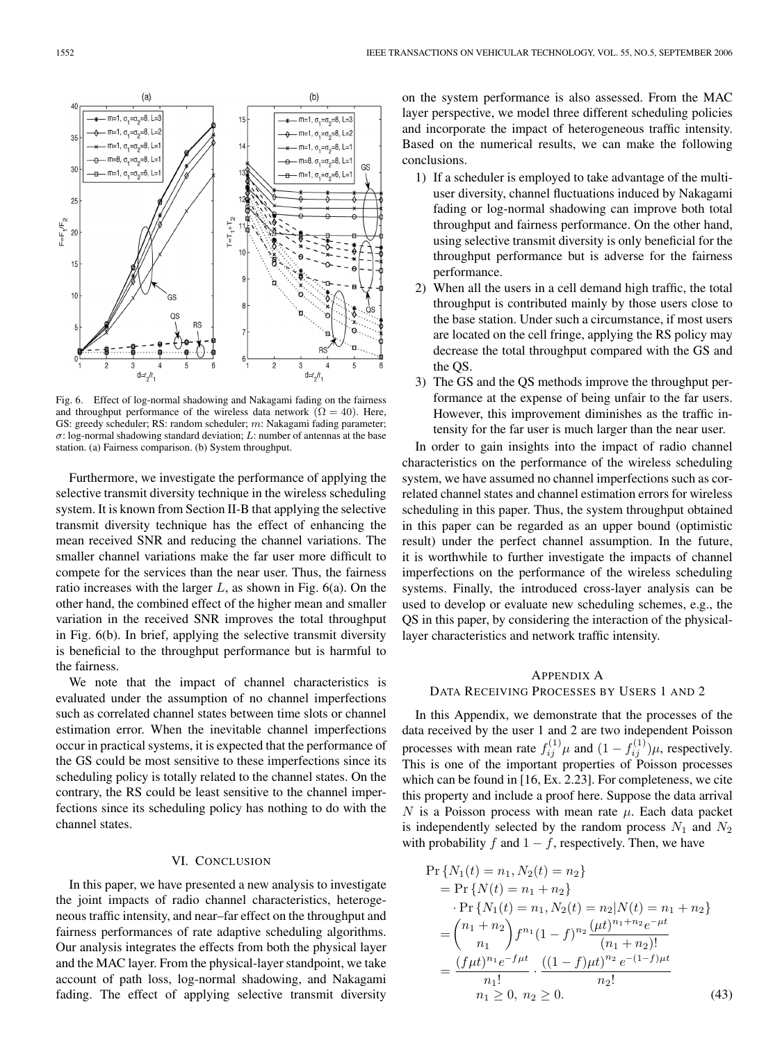

Fig. 6. Effect of log-normal shadowing and Nakagami fading on the fairness and throughput performance of the wireless data network ( $\Omega = 40$ ). Here, GS: greedy scheduler; RS: random scheduler; m: Nakagami fading parameter;  $\sigma$ : log-normal shadowing standard deviation; L: number of antennas at the base station. (a) Fairness comparison. (b) System throughput.

Furthermore, we investigate the performance of applying the selective transmit diversity technique in the wireless scheduling system. It is known from Section II-B that applying the selective transmit diversity technique has the effect of enhancing the mean received SNR and reducing the channel variations. The smaller channel variations make the far user more difficult to compete for the services than the near user. Thus, the fairness ratio increases with the larger  $L$ , as shown in Fig. 6(a). On the other hand, the combined effect of the higher mean and smaller variation in the received SNR improves the total throughput in Fig. 6(b). In brief, applying the selective transmit diversity is beneficial to the throughput performance but is harmful to the fairness.

We note that the impact of channel characteristics is evaluated under the assumption of no channel imperfections such as correlated channel states between time slots or channel estimation error. When the inevitable channel imperfections occur in practical systems, it is expected that the performance of the GS could be most sensitive to these imperfections since its scheduling policy is totally related to the channel states. On the contrary, the RS could be least sensitive to the channel imperfections since its scheduling policy has nothing to do with the channel states.

# VI. CONCLUSION

In this paper, we have presented a new analysis to investigate the joint impacts of radio channel characteristics, heterogeneous traffic intensity, and near–far effect on the throughput and fairness performances of rate adaptive scheduling algorithms. Our analysis integrates the effects from both the physical layer and the MAC layer. From the physical-layer standpoint, we take account of path loss, log-normal shadowing, and Nakagami fading. The effect of applying selective transmit diversity on the system performance is also assessed. From the MAC layer perspective, we model three different scheduling policies and incorporate the impact of heterogeneous traffic intensity. Based on the numerical results, we can make the following conclusions.

- 1) If a scheduler is employed to take advantage of the multiuser diversity, channel fluctuations induced by Nakagami fading or log-normal shadowing can improve both total throughput and fairness performance. On the other hand, using selective transmit diversity is only beneficial for the throughput performance but is adverse for the fairness performance.
- 2) When all the users in a cell demand high traffic, the total throughput is contributed mainly by those users close to the base station. Under such a circumstance, if most users are located on the cell fringe, applying the RS policy may decrease the total throughput compared with the GS and the QS.
- 3) The GS and the QS methods improve the throughput performance at the expense of being unfair to the far users. However, this improvement diminishes as the traffic intensity for the far user is much larger than the near user.

In order to gain insights into the impact of radio channel characteristics on the performance of the wireless scheduling system, we have assumed no channel imperfections such as correlated channel states and channel estimation errors for wireless scheduling in this paper. Thus, the system throughput obtained in this paper can be regarded as an upper bound (optimistic result) under the perfect channel assumption. In the future, it is worthwhile to further investigate the impacts of channel imperfections on the performance of the wireless scheduling systems. Finally, the introduced cross-layer analysis can be used to develop or evaluate new scheduling schemes, e.g., the QS in this paper, by considering the interaction of the physicallayer characteristics and network traffic intensity.

# APPENDIX A

### DATA RECEIVING PROCESSES BY USERS 1 AND 2

In this Appendix, we demonstrate that the processes of the data received by the user 1 and 2 are two independent Poisson processes with mean rate  $f_{ij}^{(1)}\mu$  and  $(1 - f_{ij}^{(1)})\mu$ , respectively. This is one of the important properties of Poisson processes which can be found in [16, Ex. 2.23]. For completeness, we cite this property and include a proof here. Suppose the data arrival N is a Poisson process with mean rate  $\mu$ . Each data packet is independently selected by the random process  $N_1$  and  $N_2$ with probability f and  $1 - f$ , respectively. Then, we have

$$
\Pr\{N_1(t) = n_1, N_2(t) = n_2\}
$$
\n
$$
= \Pr\{N(t) = n_1 + n_2\}
$$
\n
$$
\Pr\{N_1(t) = n_1, N_2(t) = n_2 | N(t) = n_1 + n_2\}
$$
\n
$$
= {n_1 + n_2 \choose n_1} f^{n_1} (1 - f)^{n_2} \frac{(\mu t)^{n_1 + n_2} e^{-\mu t}}{(n_1 + n_2)!}
$$
\n
$$
= \frac{(f\mu t)^{n_1} e^{-f\mu t}}{n_1!} \cdot \frac{((1 - f)\mu t)^{n_2} e^{-(1 - f)\mu t}}{n_2!}
$$
\n
$$
= \frac{(1 - f)\mu}{n_1!} (1 - f) \cdot \frac{1}{n_2!} (1 - f) \cdot \frac{1}{n_2!} (1 - f) \cdot \frac{1}{n_2!} (1 - f) \cdot \frac{1}{n_2!} (1 - f) \cdot \frac{1}{n_2!} (1 - f) \cdot \frac{1}{n_2!} (1 - f) \cdot \frac{1}{n_2!} (1 - f) \cdot \frac{1}{n_2!} (1 - f) \cdot \frac{1}{n_2!} (1 - f) \cdot \frac{1}{n_2!} (1 - f) \cdot \frac{1}{n_2!} (1 - f) \cdot \frac{1}{n_2!} (1 - f) \cdot \frac{1}{n_2!} (1 - f) \cdot \frac{1}{n_2!} (1 - f) \cdot \frac{1}{n_2!} (1 - f) \cdot \frac{1}{n_2!} (1 - f) \cdot \frac{1}{n_2!} (1 - f) \cdot \frac{1}{n_2!} (1 - f) \cdot \frac{1}{n_2!} (1 - f) \cdot \frac{1}{n_2!} (1 - f) \cdot \frac{1}{n_2!} (1 - f) \cdot \frac{1}{n_2!} (1 - f) \cdot \frac{1}{n_2!} (1 - f) \cdot \frac{1}{n_2!} (1 - f) \cdot \frac{1}{n_2!} (1 - f) \cdot \frac{1}{n_2!} (1 - f) \cdot \frac{1}{n_2!} (1 - f) \cdot \frac{1}{n_2!} (1 - f) \cdot \frac{1}{n_2!} (1 - f
$$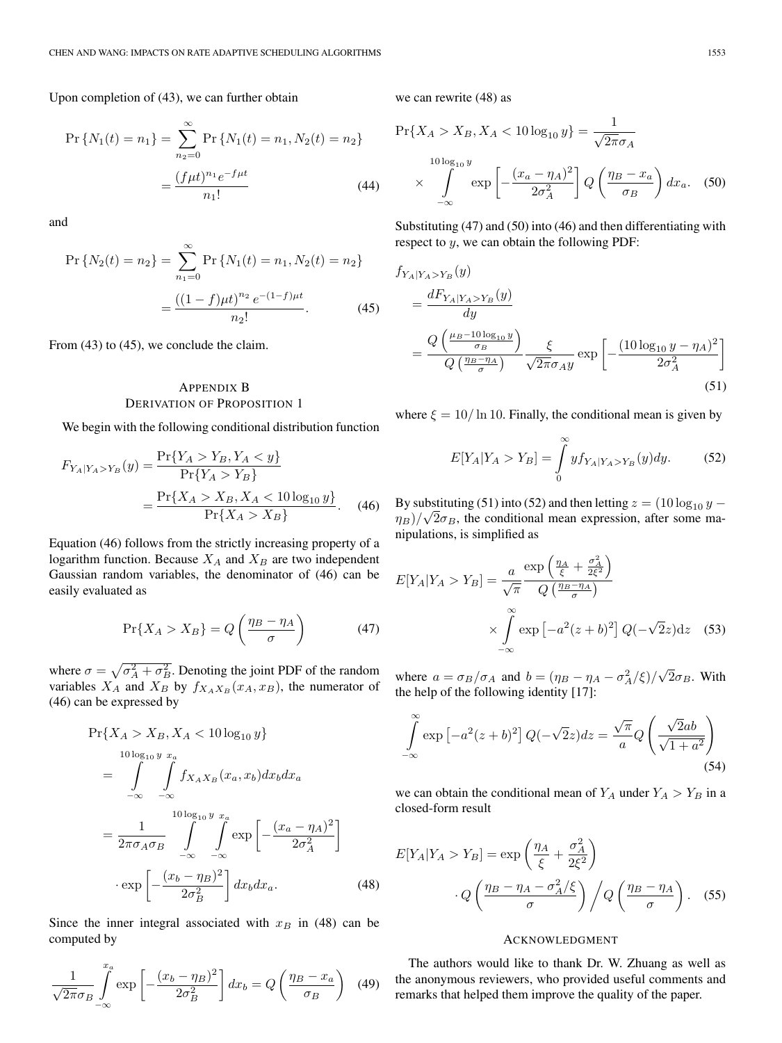Upon completion of (43), we can further obtain

$$
\Pr\{N_1(t) = n_1\} = \sum_{n_2=0}^{\infty} \Pr\{N_1(t) = n_1, N_2(t) = n_2\}
$$

$$
= \frac{(f\mu t)^{n_1}e^{-f\mu t}}{n_1!}
$$
(44)

and

$$
\Pr\{N_2(t) = n_2\} = \sum_{n_1=0}^{\infty} \Pr\{N_1(t) = n_1, N_2(t) = n_2\}
$$

$$
= \frac{((1-f)\mu t)^{n_2} e^{-(1-f)\mu t}}{n_2!}.
$$
(45)

From (43) to (45), we conclude the claim.

# APPENDIX B DERIVATION OF PROPOSITION 1

We begin with the following conditional distribution function

$$
F_{Y_A|Y_A > Y_B}(y) = \frac{\Pr\{Y_A > Y_B, Y_A < y\}}{\Pr\{Y_A > Y_B\}} \\
= \frac{\Pr\{X_A > X_B, X_A < 10 \log_{10} y\}}{\Pr\{X_A > X_B\}}.\tag{46}
$$

Equation (46) follows from the strictly increasing property of a logarithm function. Because  $X_A$  and  $X_B$  are two independent Gaussian random variables, the denominator of (46) can be easily evaluated as

$$
\Pr\{X_A > X_B\} = Q\left(\frac{\eta_B - \eta_A}{\sigma}\right) \tag{47}
$$

where  $\sigma = \sqrt{\sigma_A^2 + \sigma_B^2}$ . Denoting the joint PDF of the random variables  $X_A$  and  $X_B$  by  $f_{X_A X_B}(x_A, x_B)$ , the numerator of (46) can be expressed by

$$
\Pr{X_A > X_B, X_A < 10 \log_{10} y} \n= \int_{-\infty}^{10 \log_{10} y} \int_{-\infty}^{x_a} f_{X_A X_B}(x_a, x_b) dx_b dx_a \n= \frac{1}{2\pi \sigma_A \sigma_B} \int_{-\infty}^{10 \log_{10} y} \int_{-\infty}^{x_a} \exp \left[ -\frac{(x_a - \eta_A)^2}{2\sigma_A^2} \right] \n\cdot \exp \left[ -\frac{(x_b - \eta_B)^2}{2\sigma_B^2} \right] dx_b dx_a.
$$
\n(48)

Since the inner integral associated with  $x_B$  in (48) can be computed by

$$
\frac{1}{\sqrt{2\pi}\sigma_B} \int_{-\infty}^{x_a} \exp\left[-\frac{(x_b - \eta_B)^2}{2\sigma_B^2}\right] dx_b = Q\left(\frac{\eta_B - x_a}{\sigma_B}\right) \tag{49}
$$

we can rewrite (48) as

$$
\Pr\{X_A > X_B, X_A < 10\log_{10} y\} = \frac{1}{\sqrt{2\pi}\sigma_A}
$$
\n
$$
\times \int_{-\infty}^{10\log_{10} y} \exp\left[-\frac{(x_a - \eta_A)^2}{2\sigma_A^2}\right] Q\left(\frac{\eta_B - x_a}{\sigma_B}\right) dx_a. \quad (50)
$$

Substituting (47) and (50) into (46) and then differentiating with respect to y, we can obtain the following PDF:

$$
f_{Y_A|Y_A > Y_B}(y)
$$
  
= 
$$
\frac{dF_{Y_A|Y_A > Y_B}(y)}{dy}
$$
  
= 
$$
\frac{Q\left(\frac{\mu_B - 10 \log_{10} y}{\sigma_B}\right)}{Q\left(\frac{\eta_B - \eta_A}{\sigma}\right)} \frac{\xi}{\sqrt{2\pi}\sigma_A y} \exp\left[-\frac{(10 \log_{10} y - \eta_A)^2}{2\sigma_A^2}\right]
$$
(51)

where  $\xi = 10/\ln 10$ . Finally, the conditional mean is given by

$$
E[Y_A|Y_A > Y_B] = \int_{0}^{\infty} y f_{Y_A|Y_A > Y_B}(y) dy.
$$
 (52)

By substituting (51) into (52) and then letting  $z = (10 \log_{10} y -$ By substituting (51) into (52) and then letting  $z = (10 \log_{10} y - \eta_B)/\sqrt{2}\sigma_B$ , the conditional mean expression, after some manipulations, is simplified as

$$
E[Y_A|Y_A > Y_B] = \frac{a}{\sqrt{\pi}} \frac{\exp\left(\frac{\eta_A}{\xi} + \frac{\sigma_A^2}{2\xi^2}\right)}{Q\left(\frac{\eta_B - \eta_A}{\sigma}\right)}
$$

$$
\times \int_{-\infty}^{\infty} \exp\left[-a^2(z+b)^2\right] Q(-\sqrt{2}z) dz \quad (53)
$$

where  $a = \sigma_B/\sigma_A$  and  $b = (\eta_B - \eta_A - \sigma_A^2/\xi)/\sqrt{2}\sigma_B$ . With the help of the following identity [17]:

$$
\int_{-\infty}^{\infty} \exp\left[-a^2(z+b)^2\right] Q(-\sqrt{2}z) dz = \frac{\sqrt{\pi}}{a} Q\left(\frac{\sqrt{2}ab}{\sqrt{1+a^2}}\right)
$$
\n(54)

we can obtain the conditional mean of  $Y_A$  under  $Y_A > Y_B$  in a closed-form result

$$
E[Y_A|Y_A > Y_B] = \exp\left(\frac{\eta_A}{\xi} + \frac{\sigma_A^2}{2\xi^2}\right)
$$

$$
\cdot Q\left(\frac{\eta_B - \eta_A - \sigma_A^2/\xi}{\sigma}\right) / Q\left(\frac{\eta_B - \eta_A}{\sigma}\right). \quad (55)
$$

### ACKNOWLEDGMENT

The authors would like to thank Dr. W. Zhuang as well as the anonymous reviewers, who provided useful comments and remarks that helped them improve the quality of the paper.